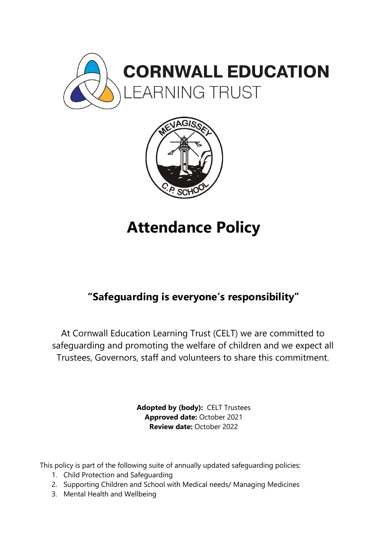



# **Attendance Policy**

# **"Safeguarding is everyone's responsibility"**

At Cornwall Education Learning Trust (CELT) we are committed to safeguarding and promoting the welfare of children and we expect all Trustees, Governors, staff and volunteers to share this commitment.

> **Adopted by (body):** CELT Trustees **Approved date:** October 2021 **Review date:** October 2022

This policy is part of the following suite of annually updated safeguarding policies:

- 1. Child Protection and Safeguarding
- 2. Supporting Children and School with Medical needs/ Managing Medicines
- 3. Mental Health and Wellbeing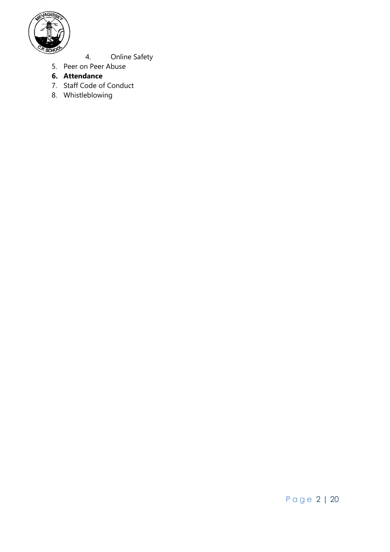

- 4. Online Safety
- 5. Peer on Peer Abuse
- **6. Attendance**
- 7. Staff Code of Conduct
- 8. Whistleblowing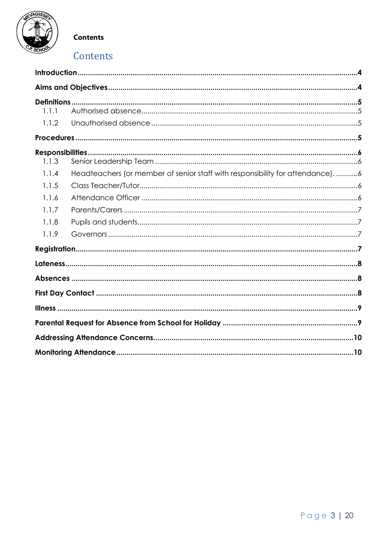

**Contents** 

# Contents

| 1.1.1            |                                                                                |  |
|------------------|--------------------------------------------------------------------------------|--|
| 1.1.2            |                                                                                |  |
|                  |                                                                                |  |
| Responsibilities |                                                                                |  |
| 1.1.3            |                                                                                |  |
| 1.1.4            | Headteachers (or member of senior staff with responsibility for attendance). 6 |  |
| 1.1.5            |                                                                                |  |
| 1.1.6            |                                                                                |  |
| 1.1.7            |                                                                                |  |
| 1.1.8            |                                                                                |  |
| 1.1.9            |                                                                                |  |
|                  |                                                                                |  |
|                  |                                                                                |  |
|                  |                                                                                |  |
|                  |                                                                                |  |
|                  |                                                                                |  |
|                  |                                                                                |  |
|                  |                                                                                |  |
|                  |                                                                                |  |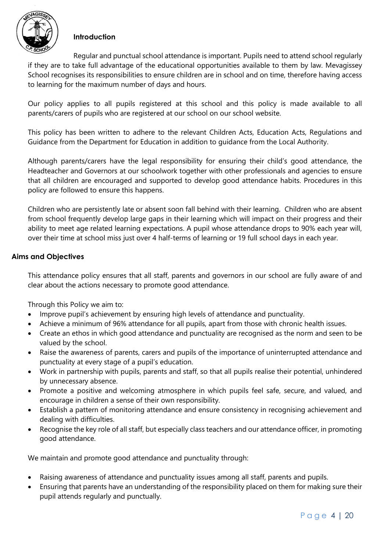

#### <span id="page-3-0"></span>**Introduction**

Regular and punctual school attendance is important. Pupils need to attend school regularly if they are to take full advantage of the educational opportunities available to them by law. Mevagissey School recognises its responsibilities to ensure children are in school and on time, therefore having access to learning for the maximum number of days and hours.

Our policy applies to all pupils registered at this school and this policy is made available to all parents/carers of pupils who are registered at our school on our school website.

This policy has been written to adhere to the relevant Children Acts, Education Acts, Regulations and Guidance from the Department for Education in addition to guidance from the Local Authority.

Although parents/carers have the legal responsibility for ensuring their child's good attendance, the Headteacher and Governors at our schoolwork together with other professionals and agencies to ensure that all children are encouraged and supported to develop good attendance habits. Procedures in this policy are followed to ensure this happens.

Children who are persistently late or absent soon fall behind with their learning. Children who are absent from school frequently develop large gaps in their learning which will impact on their progress and their ability to meet age related learning expectations. A pupil whose attendance drops to 90% each year will, over their time at school miss just over 4 half-terms of learning or 19 full school days in each year.

#### <span id="page-3-1"></span>**Aims and Objectives**

This attendance policy ensures that all staff, parents and governors in our school are fully aware of and clear about the actions necessary to promote good attendance.

Through this Policy we aim to:

- Improve pupil's achievement by ensuring high levels of attendance and punctuality.
- Achieve a minimum of 96% attendance for all pupils, apart from those with chronic health issues.
- Create an ethos in which good attendance and punctuality are recognised as the norm and seen to be valued by the school.
- Raise the awareness of parents, carers and pupils of the importance of uninterrupted attendance and punctuality at every stage of a pupil's education.
- Work in partnership with pupils, parents and staff, so that all pupils realise their potential, unhindered by unnecessary absence.
- Promote a positive and welcoming atmosphere in which pupils feel safe, secure, and valued, and encourage in children a sense of their own responsibility.
- Establish a pattern of monitoring attendance and ensure consistency in recognising achievement and dealing with difficulties.
- Recognise the key role of all staff, but especially class teachers and our attendance officer, in promoting good attendance.

We maintain and promote good attendance and punctuality through:

- Raising awareness of attendance and punctuality issues among all staff, parents and pupils.
- Ensuring that parents have an understanding of the responsibility placed on them for making sure their pupil attends regularly and punctually.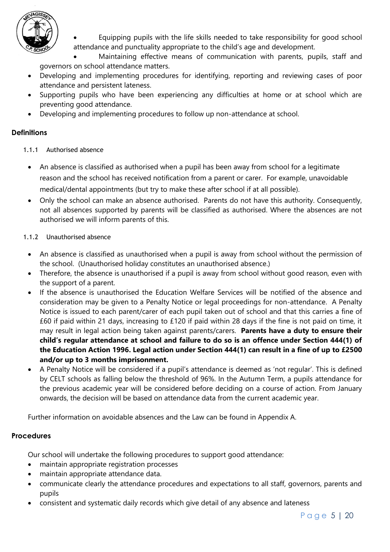

 Equipping pupils with the life skills needed to take responsibility for good school attendance and punctuality appropriate to the child's age and development.

 Maintaining effective means of communication with parents, pupils, staff and governors on school attendance matters.

- Developing and implementing procedures for identifying, reporting and reviewing cases of poor attendance and persistent lateness.
- Supporting pupils who have been experiencing any difficulties at home or at school which are preventing good attendance.
- Developing and implementing procedures to follow up non-attendance at school.

#### <span id="page-4-0"></span>**Definitions**

#### <span id="page-4-1"></span>1.1.1 Authorised absence

- An absence is classified as authorised when a pupil has been away from school for a legitimate reason and the school has received notification from a parent or carer. For example, unavoidable medical/dental appointments (but try to make these after school if at all possible).
- Only the school can make an absence authorised. Parents do not have this authority. Consequently, not all absences supported by parents will be classified as authorised. Where the absences are not authorised we will inform parents of this.

#### <span id="page-4-2"></span>1.1.2 Unauthorised absence

- An absence is classified as unauthorised when a pupil is away from school without the permission of the school. (Unauthorised holiday constitutes an unauthorised absence.)
- Therefore, the absence is unauthorised if a pupil is away from school without good reason, even with the support of a parent.
- If the absence is unauthorised the Education Welfare Services will be notified of the absence and consideration may be given to a Penalty Notice or legal proceedings for non-attendance. A Penalty Notice is issued to each parent/carer of each pupil taken out of school and that this carries a fine of £60 if paid within 21 days, increasing to £120 if paid within 28 days if the fine is not paid on time, it may result in legal action being taken against parents/carers. **Parents have a duty to ensure their child's regular attendance at school and failure to do so is an offence under Section 444(1) of the Education Action 1996. Legal action under Section 444(1) can result in a fine of up to £2500 and/or up to 3 months imprisonment.**
- A Penalty Notice will be considered if a pupil's attendance is deemed as 'not regular'. This is defined by CELT schools as falling below the threshold of 96%. In the Autumn Term, a pupils attendance for the previous academic year will be considered before deciding on a course of action. From January onwards, the decision will be based on attendance data from the current academic year.

Further information on avoidable absences and the Law can be found in Appendix A.

#### <span id="page-4-3"></span>**Procedures**

Our school will undertake the following procedures to support good attendance:

- maintain appropriate registration processes
- maintain appropriate attendance data.
- communicate clearly the attendance procedures and expectations to all staff, governors, parents and pupils
- consistent and systematic daily records which give detail of any absence and lateness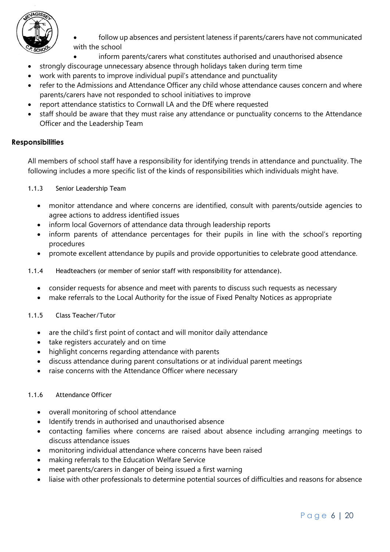

- follow up absences and persistent lateness if parents/carers have not communicated with the school
	- inform parents/carers what constitutes authorised and unauthorised absence
- strongly discourage unnecessary absence through holidays taken during term time
- work with parents to improve individual pupil's attendance and punctuality
- refer to the Admissions and Attendance Officer any child whose attendance causes concern and where parents/carers have not responded to school initiatives to improve
- report attendance statistics to Cornwall LA and the DfE where requested
- staff should be aware that they must raise any attendance or punctuality concerns to the Attendance Officer and the Leadership Team

#### <span id="page-5-0"></span>**Responsibilities**

All members of school staff have a responsibility for identifying trends in attendance and punctuality. The following includes a more specific list of the kinds of responsibilities which individuals might have.

<span id="page-5-1"></span>1.1.3 Senior Leadership Team

- monitor attendance and where concerns are identified, consult with parents/outside agencies to agree actions to address identified issues
- inform local Governors of attendance data through leadership reports
- inform parents of attendance percentages for their pupils in line with the school's reporting procedures
- promote excellent attendance by pupils and provide opportunities to celebrate good attendance.
- <span id="page-5-2"></span>1.1.4 Headteachers (or member of senior staff with responsibility for attendance).
	- consider requests for absence and meet with parents to discuss such requests as necessary
	- make referrals to the Local Authority for the issue of Fixed Penalty Notices as appropriate

#### <span id="page-5-3"></span>1.1.5 Class Teacher/Tutor

- are the child's first point of contact and will monitor daily attendance
- take registers accurately and on time
- highlight concerns regarding attendance with parents
- discuss attendance during parent consultations or at individual parent meetings
- raise concerns with the Attendance Officer where necessary

#### <span id="page-5-4"></span>1.1.6 Attendance Officer

- overall monitoring of school attendance
- Identify trends in authorised and unauthorised absence
- contacting families where concerns are raised about absence including arranging meetings to discuss attendance issues
- monitoring individual attendance where concerns have been raised
- making referrals to the Education Welfare Service
- meet parents/carers in danger of being issued a first warning
- liaise with other professionals to determine potential sources of difficulties and reasons for absence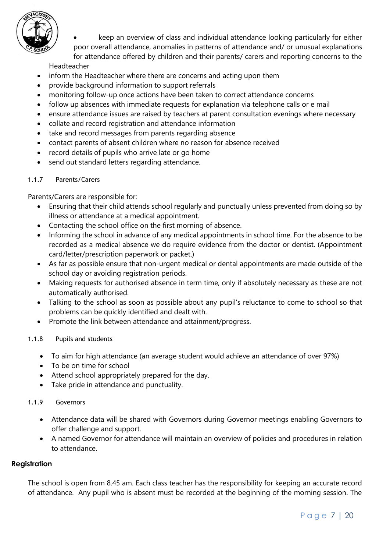

 keep an overview of class and individual attendance looking particularly for either poor overall attendance, anomalies in patterns of attendance and/ or unusual explanations for attendance offered by children and their parents/ carers and reporting concerns to the

Headteacher

- inform the Headteacher where there are concerns and acting upon them
- provide background information to support referrals
- monitoring follow-up once actions have been taken to correct attendance concerns
- follow up absences with immediate requests for explanation via telephone calls or e mail
- ensure attendance issues are raised by teachers at parent consultation evenings where necessary
- collate and record registration and attendance information
- take and record messages from parents regarding absence
- contact parents of absent children where no reason for absence received
- record details of pupils who arrive late or go home
- send out standard letters regarding attendance.

#### <span id="page-6-0"></span>1.1.7 Parents/Carers

Parents/Carers are responsible for:

- Ensuring that their child attends school regularly and punctually unless prevented from doing so by illness or attendance at a medical appointment.
- Contacting the school office on the first morning of absence.
- Informing the school in advance of any medical appointments in school time. For the absence to be recorded as a medical absence we do require evidence from the doctor or dentist. (Appointment card/letter/prescription paperwork or packet.)
- As far as possible ensure that non-urgent medical or dental appointments are made outside of the school day or avoiding registration periods.
- Making requests for authorised absence in term time, only if absolutely necessary as these are not automatically authorised.
- Talking to the school as soon as possible about any pupil's reluctance to come to school so that problems can be quickly identified and dealt with.
- Promote the link between attendance and attainment/progress.
- <span id="page-6-1"></span>1.1.8 Pupils and students
	- To aim for high attendance (an average student would achieve an attendance of over 97%)
	- To be on time for school
	- Attend school appropriately prepared for the day.
	- Take pride in attendance and punctuality.

#### <span id="page-6-2"></span>1.1.9 Governors

- Attendance data will be shared with Governors during Governor meetings enabling Governors to offer challenge and support.
- A named Governor for attendance will maintain an overview of policies and procedures in relation to attendance.

#### <span id="page-6-3"></span>**Registration**

The school is open from 8.45 am. Each class teacher has the responsibility for keeping an accurate record of attendance. Any pupil who is absent must be recorded at the beginning of the morning session. The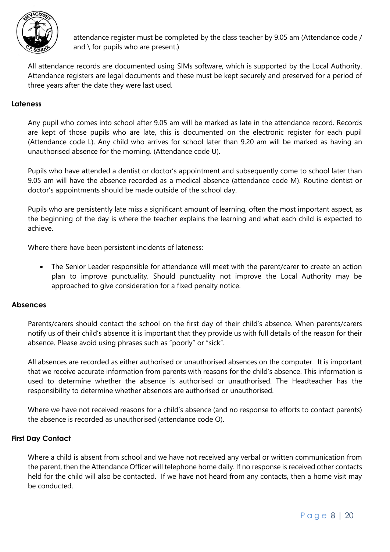

attendance register must be completed by the class teacher by 9.05 am (Attendance code / and \ for pupils who are present.)

All attendance records are documented using SIMs software, which is supported by the Local Authority. Attendance registers are legal documents and these must be kept securely and preserved for a period of three years after the date they were last used.

#### <span id="page-7-0"></span>**Lateness**

Any pupil who comes into school after 9.05 am will be marked as late in the attendance record. Records are kept of those pupils who are late, this is documented on the electronic register for each pupil (Attendance code L). Any child who arrives for school later than 9.20 am will be marked as having an unauthorised absence for the morning. (Attendance code U).

Pupils who have attended a dentist or doctor's appointment and subsequently come to school later than 9.05 am will have the absence recorded as a medical absence (attendance code M). Routine dentist or doctor's appointments should be made outside of the school day.

Pupils who are persistently late miss a significant amount of learning, often the most important aspect, as the beginning of the day is where the teacher explains the learning and what each child is expected to achieve.

Where there have been persistent incidents of lateness:

 The Senior Leader responsible for attendance will meet with the parent/carer to create an action plan to improve punctuality. Should punctuality not improve the Local Authority may be approached to give consideration for a fixed penalty notice.

#### <span id="page-7-1"></span>**Absences**

Parents/carers should contact the school on the first day of their child's absence. When parents/carers notify us of their child's absence it is important that they provide us with full details of the reason for their absence. Please avoid using phrases such as "poorly" or "sick".

All absences are recorded as either authorised or unauthorised absences on the computer. It is important that we receive accurate information from parents with reasons for the child's absence. This information is used to determine whether the absence is authorised or unauthorised. The Headteacher has the responsibility to determine whether absences are authorised or unauthorised.

Where we have not received reasons for a child's absence (and no response to efforts to contact parents) the absence is recorded as unauthorised (attendance code O).

#### <span id="page-7-2"></span>**First Day Contact**

Where a child is absent from school and we have not received any verbal or written communication from the parent, then the Attendance Officer will telephone home daily. If no response is received other contacts held for the child will also be contacted. If we have not heard from any contacts, then a home visit may be conducted.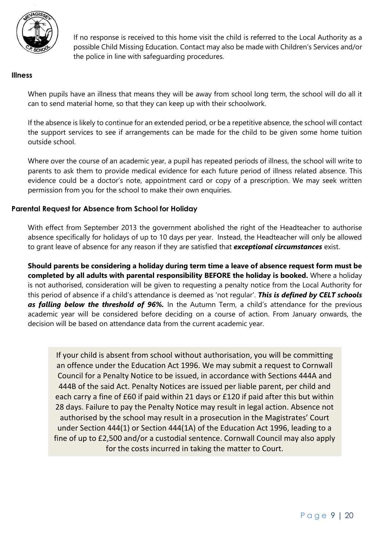

If no response is received to this home visit the child is referred to the Local Authority as a possible Child Missing Education. Contact may also be made with Children's Services and/or the police in line with safeguarding procedures.

#### <span id="page-8-0"></span>**Illness**

When pupils have an illness that means they will be away from school long term, the school will do all it can to send material home, so that they can keep up with their schoolwork.

If the absence is likely to continue for an extended period, or be a repetitive absence, the school will contact the support services to see if arrangements can be made for the child to be given some home tuition outside school.

Where over the course of an academic year, a pupil has repeated periods of illness, the school will write to parents to ask them to provide medical evidence for each future period of illness related absence. This evidence could be a doctor's note, appointment card or copy of a prescription. We may seek written permission from you for the school to make their own enquiries.

#### <span id="page-8-1"></span>**Parental Request for Absence from School for Holiday**

With effect from September 2013 the government abolished the right of the Headteacher to authorise absence specifically for holidays of up to 10 days per year. Instead, the Headteacher will only be allowed to grant leave of absence for any reason if they are satisfied that *exceptional circumstances* exist.

**Should parents be considering a holiday during term time a leave of absence request form must be completed by all adults with parental responsibility BEFORE the holiday is booked.** Where a holiday is not authorised, consideration will be given to requesting a penalty notice from the Local Authority for this period of absence if a child's attendance is deemed as 'not regular'. *This is defined by CELT schools as falling below the threshold of 96%.* In the Autumn Term, a child's attendance for the previous academic year will be considered before deciding on a course of action. From January onwards, the decision will be based on attendance data from the current academic year.

<span id="page-8-2"></span>If your child is absent from school without authorisation, you will be committing an offence under the Education Act 1996. We may submit a request to Cornwall Council for a Penalty Notice to be issued, in accordance with Sections 444A and 444B of the said Act. Penalty Notices are issued per liable parent, per child and each carry a fine of £60 if paid within 21 days or £120 if paid after this but within 28 days. Failure to pay the Penalty Notice may result in legal action. Absence not authorised by the school may result in a prosecution in the Magistrates' Court under Section 444(1) or Section 444(1A) of the Education Act 1996, leading to a fine of up to £2,500 and/or a custodial sentence. Cornwall Council may also apply for the costs incurred in taking the matter to Court.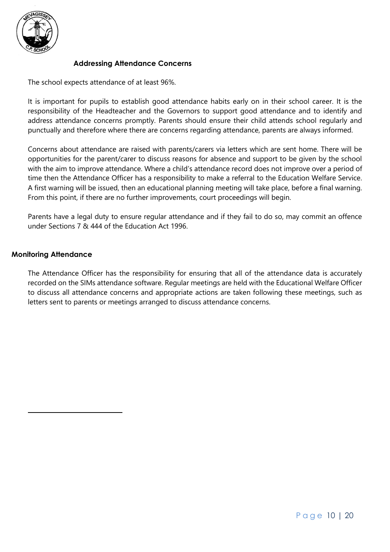

#### **Addressing Attendance Concerns**

The school expects attendance of at least 96%.

It is important for pupils to establish good attendance habits early on in their school career. It is the responsibility of the Headteacher and the Governors to support good attendance and to identify and address attendance concerns promptly. Parents should ensure their child attends school regularly and punctually and therefore where there are concerns regarding attendance, parents are always informed.

Concerns about attendance are raised with parents/carers via letters which are sent home. There will be opportunities for the parent/carer to discuss reasons for absence and support to be given by the school with the aim to improve attendance. Where a child's attendance record does not improve over a period of time then the Attendance Officer has a responsibility to make a referral to the Education Welfare Service. A first warning will be issued, then an educational planning meeting will take place, before a final warning. From this point, if there are no further improvements, court proceedings will begin.

Parents have a legal duty to ensure regular attendance and if they fail to do so, may commit an offence under Sections 7 & 444 of the Education Act 1996.

#### <span id="page-9-0"></span>**Monitoring Attendance**

The Attendance Officer has the responsibility for ensuring that all of the attendance data is accurately recorded on the SIMs attendance software. Regular meetings are held with the Educational Welfare Officer to discuss all attendance concerns and appropriate actions are taken following these meetings, such as letters sent to parents or meetings arranged to discuss attendance concerns.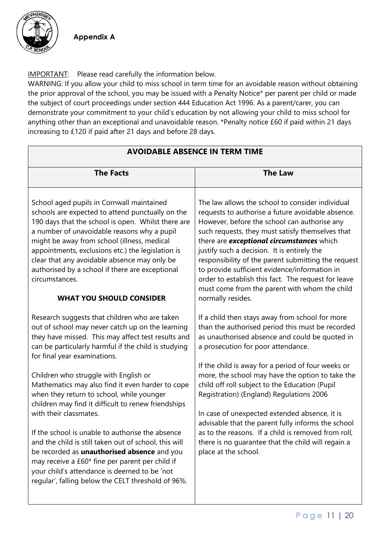

**Appendix A**

IMPORTANT: Please read carefully the information below.

WARNING: If you allow your child to miss school in term time for an avoidable reason without obtaining the prior approval of the school, you may be issued with a Penalty Notice\* per parent per child or made the subject of court proceedings under section 444 Education Act 1996. As a parent/carer, you can demonstrate your commitment to your child's education by not allowing your child to miss school for anything other than an exceptional and unavoidable reason. \*Penalty notice £60 if paid within 21 days increasing to £120 if paid after 21 days and before 28 days.

| <b>AVOIDABLE ABSENCE IN TERM TIME</b>                                                                                                                                                                                                                                                                                                                                                                                                                                                                                                                                                                                                                                                                                                                                                                                                                                                                                                                                                                                                                                                                                                                                                                                                                                    |                                                                                                                                                                                                                                                                                                                                                                                                                                                                                                                                                                                                                                                                                                                                                                                                                                                                                                                                                                                                                                                                                                                                                                                                      |  |  |
|--------------------------------------------------------------------------------------------------------------------------------------------------------------------------------------------------------------------------------------------------------------------------------------------------------------------------------------------------------------------------------------------------------------------------------------------------------------------------------------------------------------------------------------------------------------------------------------------------------------------------------------------------------------------------------------------------------------------------------------------------------------------------------------------------------------------------------------------------------------------------------------------------------------------------------------------------------------------------------------------------------------------------------------------------------------------------------------------------------------------------------------------------------------------------------------------------------------------------------------------------------------------------|------------------------------------------------------------------------------------------------------------------------------------------------------------------------------------------------------------------------------------------------------------------------------------------------------------------------------------------------------------------------------------------------------------------------------------------------------------------------------------------------------------------------------------------------------------------------------------------------------------------------------------------------------------------------------------------------------------------------------------------------------------------------------------------------------------------------------------------------------------------------------------------------------------------------------------------------------------------------------------------------------------------------------------------------------------------------------------------------------------------------------------------------------------------------------------------------------|--|--|
| <b>The Facts</b>                                                                                                                                                                                                                                                                                                                                                                                                                                                                                                                                                                                                                                                                                                                                                                                                                                                                                                                                                                                                                                                                                                                                                                                                                                                         | <b>The Law</b>                                                                                                                                                                                                                                                                                                                                                                                                                                                                                                                                                                                                                                                                                                                                                                                                                                                                                                                                                                                                                                                                                                                                                                                       |  |  |
| School aged pupils in Cornwall maintained<br>schools are expected to attend punctually on the<br>190 days that the school is open. Whilst there are<br>a number of unavoidable reasons why a pupil<br>might be away from school (illness, medical<br>appointments, exclusions etc.) the legislation is<br>clear that any avoidable absence may only be<br>authorised by a school if there are exceptional<br>circumstances.<br><b>WHAT YOU SHOULD CONSIDER</b><br>Research suggests that children who are taken<br>out of school may never catch up on the learning<br>they have missed. This may affect test results and<br>can be particularly harmful if the child is studying<br>for final year examinations.<br>Children who struggle with English or<br>Mathematics may also find it even harder to cope<br>when they return to school, while younger<br>children may find it difficult to renew friendships<br>with their classmates.<br>If the school is unable to authorise the absence<br>and the child is still taken out of school, this will<br>be recorded as <i>unauthorised</i> absence and you<br>may receive a £60* fine per parent per child if<br>your child's attendance is deemed to be 'not<br>regular', falling below the CELT threshold of 96%. | The law allows the school to consider individual<br>requests to authorise a future avoidable absence.<br>However, before the school can authorise any<br>such requests, they must satisfy themselves that<br>there are <b>exceptional circumstances</b> which<br>justify such a decision. It is entirely the<br>responsibility of the parent submitting the request<br>to provide sufficient evidence/information in<br>order to establish this fact. The request for leave<br>must come from the parent with whom the child<br>normally resides.<br>If a child then stays away from school for more<br>than the authorised period this must be recorded<br>as unauthorised absence and could be quoted in<br>a prosecution for poor attendance.<br>If the child is away for a period of four weeks or<br>more, the school may have the option to take the<br>child off roll subject to the Education (Pupil<br>Registration) (England) Regulations 2006<br>In case of unexpected extended absence, it is<br>advisable that the parent fully informs the school<br>as to the reasons. If a child is removed from roll,<br>there is no guarantee that the child will regain a<br>place at the school. |  |  |
|                                                                                                                                                                                                                                                                                                                                                                                                                                                                                                                                                                                                                                                                                                                                                                                                                                                                                                                                                                                                                                                                                                                                                                                                                                                                          |                                                                                                                                                                                                                                                                                                                                                                                                                                                                                                                                                                                                                                                                                                                                                                                                                                                                                                                                                                                                                                                                                                                                                                                                      |  |  |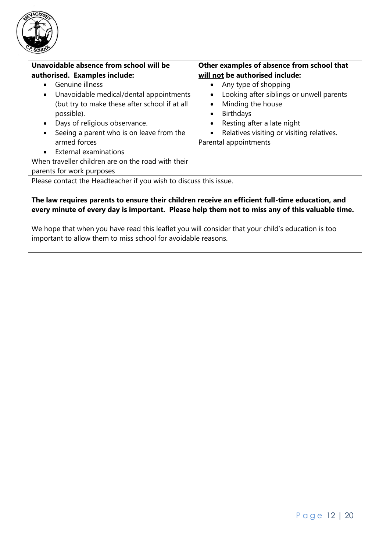

| Unavoidable absence from school will be                                                                                                                                                                                                                                                               | Other examples of absence from school that                                                                                                                                                                                                                                                  |  |  |
|-------------------------------------------------------------------------------------------------------------------------------------------------------------------------------------------------------------------------------------------------------------------------------------------------------|---------------------------------------------------------------------------------------------------------------------------------------------------------------------------------------------------------------------------------------------------------------------------------------------|--|--|
| authorised. Examples include:                                                                                                                                                                                                                                                                         | will not be authorised include:                                                                                                                                                                                                                                                             |  |  |
| Genuine illness<br>$\bullet$<br>Unavoidable medical/dental appointments<br>$\bullet$<br>(but try to make these after school if at all<br>possible).<br>Days of religious observance.<br>$\bullet$<br>Seeing a parent who is on leave from the<br>$\bullet$<br>armed forces<br>• External examinations | Any type of shopping<br>$\bullet$<br>Looking after siblings or unwell parents<br>$\bullet$<br>Minding the house<br>$\bullet$<br><b>Birthdays</b><br>$\bullet$<br>Resting after a late night<br>$\bullet$<br>Relatives visiting or visiting relatives.<br>$\bullet$<br>Parental appointments |  |  |
| When traveller children are on the road with their                                                                                                                                                                                                                                                    |                                                                                                                                                                                                                                                                                             |  |  |
| parents for work purposes                                                                                                                                                                                                                                                                             |                                                                                                                                                                                                                                                                                             |  |  |
| Please contact the Headteacher if you wish to discuss this issue.                                                                                                                                                                                                                                     |                                                                                                                                                                                                                                                                                             |  |  |

#### **The law requires parents to ensure their children receive an efficient full-time education, and every minute of every day is important. Please help them not to miss any of this valuable time.**

We hope that when you have read this leaflet you will consider that your child's education is too important to allow them to miss school for avoidable reasons.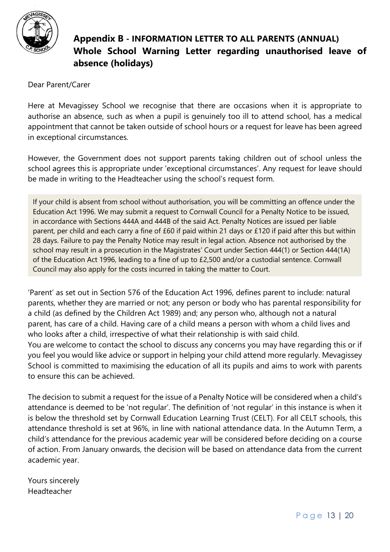

# **Appendix B - INFORMATION LETTER TO ALL PARENTS (ANNUAL) Whole School Warning Letter regarding unauthorised leave of absence (holidays)**

Dear Parent/Carer

Here at Mevagissey School we recognise that there are occasions when it is appropriate to authorise an absence, such as when a pupil is genuinely too ill to attend school, has a medical appointment that cannot be taken outside of school hours or a request for leave has been agreed in exceptional circumstances.

However, the Government does not support parents taking children out of school unless the school agrees this is appropriate under 'exceptional circumstances'. Any request for leave should be made in writing to the Headteacher using the school's request form.

If your child is absent from school without authorisation, you will be committing an offence under the Education Act 1996. We may submit a request to Cornwall Council for a Penalty Notice to be issued, in accordance with Sections 444A and 444B of the said Act. Penalty Notices are issued per liable parent, per child and each carry a fine of £60 if paid within 21 days or £120 if paid after this but within 28 days. Failure to pay the Penalty Notice may result in legal action. Absence not authorised by the school may result in a prosecution in the Magistrates' Court under Section 444(1) or Section 444(1A) of the Education Act 1996, leading to a fine of up to £2,500 and/or a custodial sentence. Cornwall Council may also apply for the costs incurred in taking the matter to Court.

'Parent' as set out in Section 576 of the Education Act 1996, defines parent to include: natural parents, whether they are married or not; any person or body who has parental responsibility for a child (as defined by the Children Act 1989) and; any person who, although not a natural parent, has care of a child. Having care of a child means a person with whom a child lives and who looks after a child, irrespective of what their relationship is with said child. You are welcome to contact the school to discuss any concerns you may have regarding this or if you feel you would like advice or support in helping your child attend more regularly. Mevagissey School is committed to maximising the education of all its pupils and aims to work with parents to ensure this can be achieved.

The decision to submit a request for the issue of a Penalty Notice will be considered when a child's attendance is deemed to be 'not regular'. The definition of 'not regular' in this instance is when it is below the threshold set by Cornwall Education Learning Trust (CELT). For all CELT schools, this attendance threshold is set at 96%, in line with national attendance data. In the Autumn Term, a child's attendance for the previous academic year will be considered before deciding on a course of action. From January onwards, the decision will be based on attendance data from the current academic year.

Yours sincerely Headteacher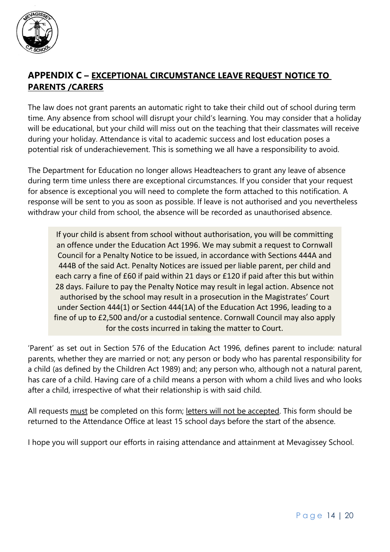

### **APPENDIX C – EXCEPTIONAL CIRCUMSTANCE LEAVE REQUEST NOTICE TO PARENTS /CARERS**

The law does not grant parents an automatic right to take their child out of school during term time. Any absence from school will disrupt your child's learning. You may consider that a holiday will be educational, but your child will miss out on the teaching that their classmates will receive during your holiday. Attendance is vital to academic success and lost education poses a potential risk of underachievement. This is something we all have a responsibility to avoid.

The Department for Education no longer allows Headteachers to grant any leave of absence during term time unless there are exceptional circumstances. If you consider that your request for absence is exceptional you will need to complete the form attached to this notification. A response will be sent to you as soon as possible. If leave is not authorised and you nevertheless withdraw your child from school, the absence will be recorded as unauthorised absence.

If your child is absent from school without authorisation, you will be committing an offence under the Education Act 1996. We may submit a request to Cornwall Council for a Penalty Notice to be issued, in accordance with Sections 444A and 444B of the said Act. Penalty Notices are issued per liable parent, per child and each carry a fine of £60 if paid within 21 days or £120 if paid after this but within 28 days. Failure to pay the Penalty Notice may result in legal action. Absence not authorised by the school may result in a prosecution in the Magistrates' Court under Section 444(1) or Section 444(1A) of the Education Act 1996, leading to a fine of up to £2,500 and/or a custodial sentence. Cornwall Council may also apply for the costs incurred in taking the matter to Court.

'Parent' as set out in Section 576 of the Education Act 1996, defines parent to include: natural parents, whether they are married or not; any person or body who has parental responsibility for a child (as defined by the Children Act 1989) and; any person who, although not a natural parent, has care of a child. Having care of a child means a person with whom a child lives and who looks after a child, irrespective of what their relationship is with said child.

All requests must be completed on this form; letters will not be accepted. This form should be returned to the Attendance Office at least 15 school days before the start of the absence.

I hope you will support our efforts in raising attendance and attainment at Mevagissey School.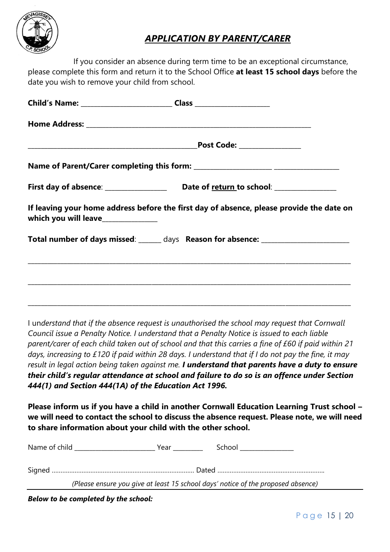

# *APPLICATION BY PARENT/CARER*

If you consider an absence during term time to be an exceptional circumstance, please complete this form and return it to the School Office **at least 15 school days** before the date you wish to remove your child from school.

|                                   | Child's Name: ___________________________________Class _________________________         |  |
|-----------------------------------|------------------------------------------------------------------------------------------|--|
|                                   |                                                                                          |  |
|                                   |                                                                                          |  |
|                                   |                                                                                          |  |
|                                   |                                                                                          |  |
| which you will leave_____________ | If leaving your home address before the first day of absence, please provide the date on |  |
|                                   | Total number of days missed: ______ days Reason for absence: ___________________         |  |
|                                   |                                                                                          |  |
|                                   |                                                                                          |  |
|                                   |                                                                                          |  |

I un*derstand that if the absence request is unauthorised the school may request that Cornwall Council issue a Penalty Notice. I understand that a Penalty Notice is issued to each liable parent/carer of each child taken out of school and that this carries a fine of £60 if paid within 21 days, increasing to £120 if paid within 28 days. I understand that if I do not pay the fine, it may result in legal action being taken against me. I understand that parents have a duty to ensure their child's regular attendance at school and failure to do so is an offence under Section 444(1) and Section 444(1A) of the Education Act 1996.*

**Please inform us if you have a child in another Cornwall Education Learning Trust school – we will need to contact the school to discuss the absence request. Please note, we will need to share information about your child with the other school.** 

| Name of child Name of child<br>School in the control of the control of the control of the control of the control of the control of the control of the control of the control of the control of the control of the control of the control of the control of th<br>Year |
|-----------------------------------------------------------------------------------------------------------------------------------------------------------------------------------------------------------------------------------------------------------------------|
|                                                                                                                                                                                                                                                                       |
| (Please ensure you give at least 15 school days' notice of the proposed absence)                                                                                                                                                                                      |

*Below to be completed by the school:*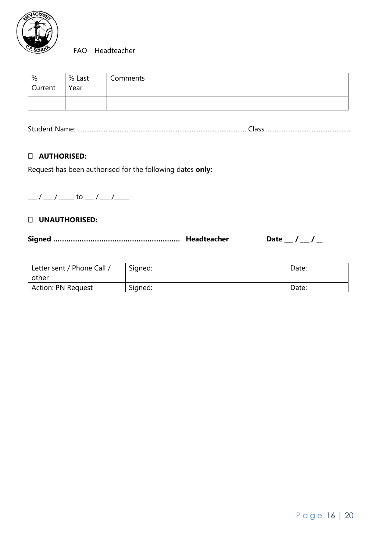

FAO – Headteacher

| %<br>Current | % Last<br>Year | Comments |
|--------------|----------------|----------|
|              |                |          |

Student Name: …………………………………………………………………………………… Class………………………………………….

#### **AUTHORISED:**

Request has been authorised for the following dates **only:**

 $\frac{1}{2}$  /  $\frac{1}{2}$  to  $\frac{1}{2}$  /  $\frac{1}{2}$ 

#### **UNAUTHORISED:**

**Signed …………………………………………………. Headteacher Date \_\_\_ / \_\_\_ / \_\_**

| Letter sent / Phone Call /<br>other | Signed: | Date: |
|-------------------------------------|---------|-------|
| <b>Action: PN Request</b>           | Signed: | Date: |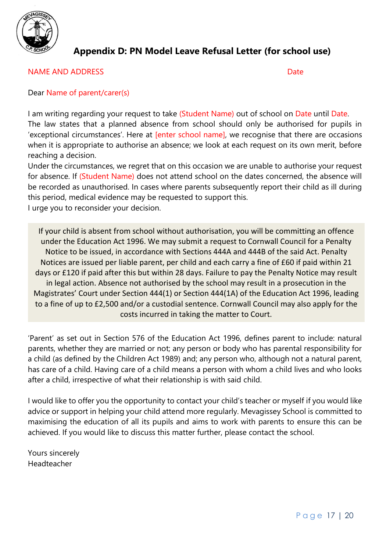

## **Appendix D: PN Model Leave Refusal Letter (for school use)**

#### NAME AND ADDRESS DATE: NOTE: NOTE: NOTE: NOTE: NOTE: NOTE: NOTE: NOTE: NOTE: NOTE: NOTE: NOTE: NOTE: NOTE: NOTE: NOTE: NOTE: NOTE: NOTE: NOTE: NOTE: NOTE: NOTE: NOTE: NOTE: NOTE: NOTE: NOTE: NOTE: NOTE: NOTE: NOTE: NOTE: N

#### Dear Name of parent/carer(s)

I am writing regarding your request to take (Student Name) out of school on Date until Date. The law states that a planned absence from school should only be authorised for pupils in 'exceptional circumstances'. Here at **[enter school name]**, we recognise that there are occasions when it is appropriate to authorise an absence; we look at each request on its own merit, before reaching a decision.

Under the circumstances, we regret that on this occasion we are unable to authorise your request for absence. If (Student Name) does not attend school on the dates concerned, the absence will be recorded as unauthorised. In cases where parents subsequently report their child as ill during this period, medical evidence may be requested to support this. I urge you to reconsider your decision.

If your child is absent from school without authorisation, you will be committing an offence under the Education Act 1996. We may submit a request to Cornwall Council for a Penalty Notice to be issued, in accordance with Sections 444A and 444B of the said Act. Penalty Notices are issued per liable parent, per child and each carry a fine of £60 if paid within 21 days or £120 if paid after this but within 28 days. Failure to pay the Penalty Notice may result in legal action. Absence not authorised by the school may result in a prosecution in the Magistrates' Court under Section 444(1) or Section 444(1A) of the Education Act 1996, leading to a fine of up to £2,500 and/or a custodial sentence. Cornwall Council may also apply for the costs incurred in taking the matter to Court.

'Parent' as set out in Section 576 of the Education Act 1996, defines parent to include: natural parents, whether they are married or not; any person or body who has parental responsibility for a child (as defined by the Children Act 1989) and; any person who, although not a natural parent, has care of a child. Having care of a child means a person with whom a child lives and who looks after a child, irrespective of what their relationship is with said child.

I would like to offer you the opportunity to contact your child's teacher or myself if you would like advice or support in helping your child attend more regularly. Mevagissey School is committed to maximising the education of all its pupils and aims to work with parents to ensure this can be achieved. If you would like to discuss this matter further, please contact the school.

Yours sincerely Headteacher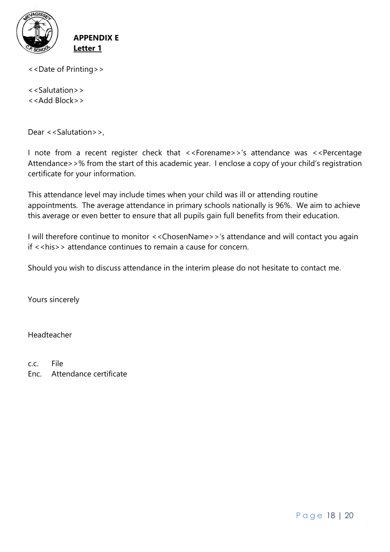

**APPENDIX E Letter 1**

<<Date of Printing>>

<<Salutation>> <<Add Block>>

Dear <<Salutation>>,

I note from a recent register check that <<Forename>>'s attendance was <<Percentage Attendance>>% from the start of this academic year. I enclose a copy of your child's registration certificate for your information.

This attendance level may include times when your child was ill or attending routine appointments. The average attendance in primary schools nationally is 96%. We aim to achieve this average or even better to ensure that all pupils gain full benefits from their education.

I will therefore continue to monitor <<ChosenName>>'s attendance and will contact you again  $if \leq h$  is  $\geq$  attendance continues to remain a cause for concern.

Should you wish to discuss attendance in the interim please do not hesitate to contact me.

Yours sincerely

Headteacher

c.c. File

Enc. Attendance certificate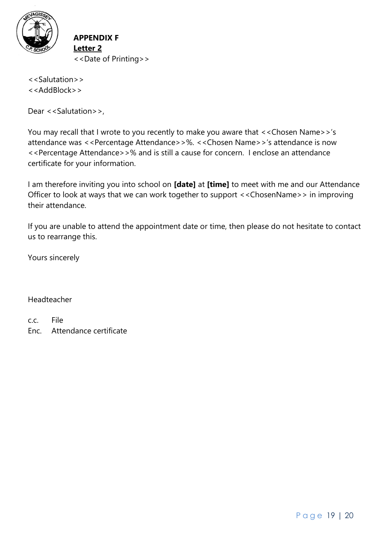

**APPENDIX F Letter 2** <<Date of Printing>>

<<Salutation>> <<AddBlock>>

Dear <<Salutation>>,

You may recall that I wrote to you recently to make you aware that <<Chosen Name>>'s attendance was <<Percentage Attendance>>%. <<Chosen Name>>'s attendance is now <<Percentage Attendance>>% and is still a cause for concern. I enclose an attendance certificate for your information.

I am therefore inviting you into school on **[date]** at **[time]** to meet with me and our Attendance Officer to look at ways that we can work together to support <<ChosenName>> in improving their attendance.

If you are unable to attend the appointment date or time, then please do not hesitate to contact us to rearrange this.

Yours sincerely

#### Headteacher

c.c. File Enc. Attendance certificate